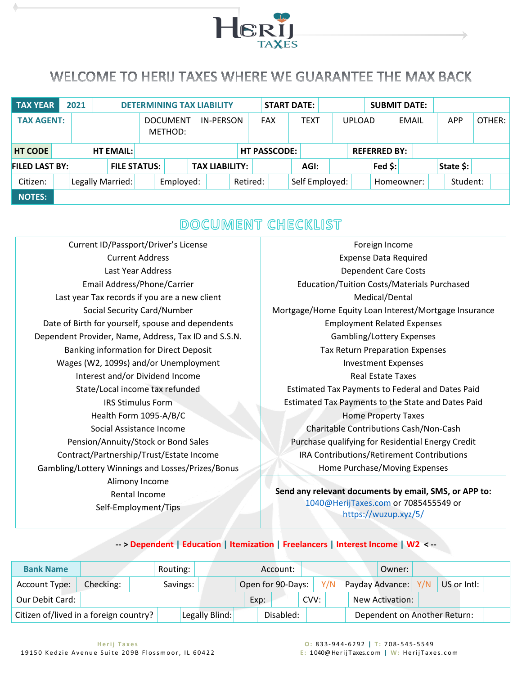

## <span id="page-0-0"></span>WELCOME TO HERIJ TAXES WHERE WE GUARANTEE THE MAX BACK

| <b>TAX YEAR</b>       | 2021 |                  |                  |                     |                 | <b>DETERMINING TAX LIABILITY</b> |  | <b>START DATE:</b>  |             |               | <b>SUBMIT DATE:</b> |          |            |        |  |
|-----------------------|------|------------------|------------------|---------------------|-----------------|----------------------------------|--|---------------------|-------------|---------------|---------------------|----------|------------|--------|--|
| <b>TAX AGENT:</b>     |      |                  |                  |                     | <b>DOCUMENT</b> | IN-PERSON                        |  | <b>FAX</b>          | <b>TEXT</b> | <b>UPLOAD</b> |                     | EMAIL    | <b>APP</b> | OTHER: |  |
|                       |      |                  |                  |                     | METHOD:         |                                  |  |                     |             |               |                     |          |            |        |  |
| <b>HT CODE</b>        |      |                  | <b>HT EMAIL:</b> |                     |                 |                                  |  | <b>HT PASSCODE:</b> |             |               | <b>REFERRED BY:</b> |          |            |        |  |
| <b>FILED LAST BY:</b> |      |                  |                  | <b>FILE STATUS:</b> |                 | <b>TAX LIABILITY:</b>            |  |                     | AGI:        |               | Fed \$:             |          | State \$:  |        |  |
| Citizen:              |      | Legally Married: |                  | Employed:           |                 | Retired:                         |  | Self Employed:      |             | Homeowner:    |                     | Student: |            |        |  |
| <b>NOTES:</b>         |      |                  |                  |                     |                 |                                  |  |                     |             |               |                     |          |            |        |  |

## DOCUMENT CHECKLIST

- Current ID/Passport/Driver's License Current Address Last Year Address Email Address/Phone/Carrier Last year Tax records if you are a new client Social Security Card/Number Date of Birth for yourself, spouse and dependents Dependent Provider, Name, Address, Tax ID and S.S.N. Banking information for Direct Deposit Wages (W2, 1099s) and/or Unemployment Interest and/or Dividend Income State/Local income tax refunded IRS Stimulus Form Health Form 1095-A/B/C Social Assistance Income Pension/Annuity/Stock or Bond Sales Contract/Partnership/Trust/Estate Income Gambling/Lottery Winnings and Losses/Prizes/Bonus Alimony Income Rental Income Self-Employment/Tips
- Foreign Income Expense Data Required Dependent Care Costs Education/Tuition Costs/Materials Purchased Medical/Dental Mortgage/Home Equity Loan Interest/Mortgage Insurance Employment Related Expenses Gambling/Lottery Expenses Tax Return Preparation Expenses Investment Expenses Real Estate Taxes Estimated Tax Payments to Federal and Dates Paid Estimated Tax Payments to the State and Dates Paid Home Property Taxes Charitable Contributions Cash/Non-Cash Purchase qualifying for Residential Energy Credit IRA Contributions/Retirement Contributions Home Purchase/Moving Expenses

**Send any relevant documents by email, SMS, or APP to:** [1040@HerijTaxes.com](mailto:1040@HerijTaxes.com) or 7085455549 or <https://wuzup.xyz/5/>

| <b>Bank Name</b>                       |           | Routing: |                |      | Account:          |      |  | Owner:              |                              |  |
|----------------------------------------|-----------|----------|----------------|------|-------------------|------|--|---------------------|------------------------------|--|
| Account Type:                          | Checking: | Savings: |                |      | Open for 90-Days: |      |  | Payday Advance: Y/N | US or Intl:                  |  |
| Our Debit Card:                        |           |          |                | Exp: |                   | CVV: |  | New Activation:     |                              |  |
| Citizen of/lived in a foreign country? |           |          | Legally Blind: |      | Disabled:         |      |  |                     | Dependent on Another Return: |  |

**-- > [Dependent](#page-2-0) | [Education](#page-2-1) | [Itemization](#page-2-2) | [Freelancers](#page-3-0) | [Interest Income](#page-4-0) | [W2](#page-5-0) < --**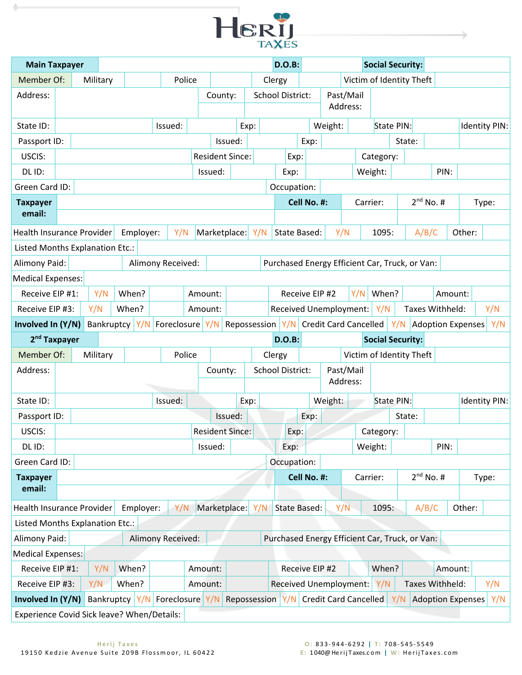

| <b>Main Taxpayer</b>                       |          |     |            |           |                                      |        |                        |         |      |     | <b>D.O.B:</b>                                  |             |                              |          |          |           | <b>Social Security:</b>  |                |                 |                          |               |
|--------------------------------------------|----------|-----|------------|-----------|--------------------------------------|--------|------------------------|---------|------|-----|------------------------------------------------|-------------|------------------------------|----------|----------|-----------|--------------------------|----------------|-----------------|--------------------------|---------------|
| Member Of:                                 | Military |     |            |           |                                      | Police |                        |         |      |     | Clergy                                         |             |                              |          |          |           | Victim of Identity Theft |                |                 |                          |               |
| Address:                                   |          |     |            |           |                                      |        | County:                |         |      |     | <b>School District:</b>                        |             | Past/Mail                    |          |          |           |                          |                |                 |                          |               |
|                                            |          |     |            |           |                                      |        |                        |         |      |     |                                                |             |                              | Address: |          |           |                          |                |                 |                          |               |
| State ID:                                  |          |     |            |           | Issued:                              |        |                        |         | Exp: |     |                                                |             | Weight:                      |          |          |           | State PIN:               |                |                 |                          | Identity PIN: |
| Passport ID:                               |          |     |            |           |                                      |        |                        | Issued: |      |     |                                                | Exp:        |                              |          |          |           | State:                   |                |                 |                          |               |
| USCIS:                                     |          |     |            |           |                                      |        | <b>Resident Since:</b> |         |      |     | Exp:                                           |             |                              |          |          | Category: |                          |                |                 |                          |               |
| DL ID:                                     |          |     |            |           |                                      |        | Issued:                |         |      |     | Exp:                                           |             |                              |          |          | Weight:   |                          |                | PIN:            |                          |               |
| Green Card ID:                             |          |     |            |           |                                      |        |                        |         |      |     | Occupation:                                    |             |                              |          |          |           |                          |                |                 |                          |               |
| <b>Taxpayer</b>                            |          |     |            |           |                                      |        |                        |         |      |     |                                                | Cell No. #: |                              |          | Carrier: |           |                          | $2^{nd}$ No. # |                 |                          | Type:         |
| email:                                     |          |     |            |           |                                      |        |                        |         |      |     |                                                |             |                              |          |          |           |                          |                |                 |                          |               |
| <b>Health Insurance Provider</b>           |          |     |            | Employer: |                                      | Y/N    | Marketplace:           |         |      | Y/N | State Based:                                   |             |                              | Y/N      |          | 1095:     |                          | A/B/C          |                 | Other:                   |               |
| Listed Months Explanation Etc.:            |          |     |            |           |                                      |        |                        |         |      |     |                                                |             |                              |          |          |           |                          |                |                 |                          |               |
| Alimony Paid:                              |          |     |            |           | Alimony Received:                    |        |                        |         |      |     | Purchased Energy Efficient Car, Truck, or Van: |             |                              |          |          |           |                          |                |                 |                          |               |
| <b>Medical Expenses:</b>                   |          |     |            |           |                                      |        |                        |         |      |     |                                                |             |                              |          |          |           |                          |                |                 |                          |               |
| Receive EIP #1:                            |          | Y/N | When?      |           |                                      |        | Amount:                |         |      |     |                                                |             | Receive EIP #2               |          | Y/N      | When?     |                          |                | Amount:         |                          |               |
| Receive EIP #3:                            | Y/N      |     | When?      |           |                                      |        | Amount:                |         |      |     | Received Unemployment:                         |             |                              |          |          | Y/N       |                          |                | Taxes Withheld: |                          | Y/N           |
| Involved In (Y/N)                          |          |     | Bankruptcy | Y/N       | Foreclosure Y/N                      |        |                        |         |      |     | Repossession Y/N                               |             | <b>Credit Card Cancelled</b> |          |          |           |                          |                |                 | Y/N   Adoption Expenses  | Y/N           |
| 2 <sup>nd</sup> Taxpayer                   |          |     |            |           |                                      |        |                        |         |      |     | <b>D.O.B:</b>                                  |             |                              |          |          |           | <b>Social Security:</b>  |                |                 |                          |               |
| Member Of:                                 | Military |     |            |           |                                      | Police |                        |         |      |     | Clergy                                         |             |                              |          |          |           | Victim of Identity Theft |                |                 |                          |               |
| Address:                                   |          |     |            |           |                                      |        | County:                |         |      |     | <b>School District:</b>                        |             | Past/Mail                    |          |          |           |                          |                |                 |                          |               |
|                                            |          |     |            |           |                                      |        |                        |         |      |     |                                                |             |                              | Address: |          |           |                          |                |                 |                          |               |
| State ID:                                  |          |     |            |           | Issued:                              |        |                        |         | Exp: |     |                                                |             | Weight:                      |          |          |           | State PIN:               |                |                 |                          | Identity PIN: |
| Passport ID:                               |          |     |            |           |                                      |        |                        | Issued: |      |     |                                                | Exp:        |                              |          |          |           | State:                   |                |                 |                          |               |
| USCIS:                                     |          |     |            |           |                                      |        | <b>Resident Since:</b> |         |      |     | Exp:                                           |             |                              |          |          | Category: |                          |                |                 |                          |               |
| DL ID:                                     |          |     |            |           |                                      |        | Issued:                |         |      |     | Exp:                                           |             |                              |          |          | Weight:   |                          |                | PIN:            |                          |               |
| Green Card ID:                             |          |     |            |           |                                      |        |                        |         |      |     | Occupation:                                    |             |                              |          |          |           |                          |                |                 |                          |               |
| <b>Taxpayer</b>                            |          |     |            |           |                                      |        |                        |         |      |     |                                                | Cell No. #: |                              |          | Carrier: |           |                          | $2^{nd}$ No. # |                 |                          | Type:         |
| email:                                     |          |     |            |           |                                      |        |                        |         |      |     |                                                |             |                              |          |          |           |                          |                |                 |                          |               |
| <b>Health Insurance Provider</b>           |          |     |            | Employer: |                                      | Y/N    | Marketplace:           |         |      | Y/N | <b>State Based:</b>                            |             |                              | Y/N      |          | 1095:     |                          | A/B/C          |                 | Other:                   |               |
| Listed Months Explanation Etc.:            |          |     |            |           |                                      |        |                        |         |      |     |                                                |             |                              |          |          |           |                          |                |                 |                          |               |
| Alimony Paid:                              |          |     |            |           | Alimony Received:                    |        |                        |         |      |     | Purchased Energy Efficient Car, Truck, or Van: |             |                              |          |          |           |                          |                |                 |                          |               |
| <b>Medical Expenses:</b>                   |          |     |            |           |                                      |        |                        |         |      |     |                                                |             |                              |          |          |           |                          |                |                 |                          |               |
| Receive EIP #1:                            |          | Y/N | When?      |           |                                      |        | Amount:                |         |      |     |                                                |             | Receive EIP #2               |          |          | When?     |                          |                | Amount:         |                          |               |
| Receive EIP #3:                            | Y/N      |     | When?      |           |                                      |        | Amount:                |         |      |     | <b>Received Unemployment:</b>                  |             |                              |          |          | Y/N       |                          |                | Taxes Withheld: |                          | Y/N           |
| Involved In (Y/N)                          |          |     |            |           | Bankruptcy   Y/N   Foreclosure   Y/N |        |                        |         |      |     | Repossession Y/N                               |             | <b>Credit Card Cancelled</b> |          |          |           | Y/N                      |                |                 | <b>Adoption Expenses</b> | Y/N           |
| Experience Covid Sick leave? When/Details: |          |     |            |           |                                      |        |                        |         |      |     |                                                |             |                              |          |          |           |                          |                |                 |                          |               |

 $\blacklozenge$ 

 $\rightarrow$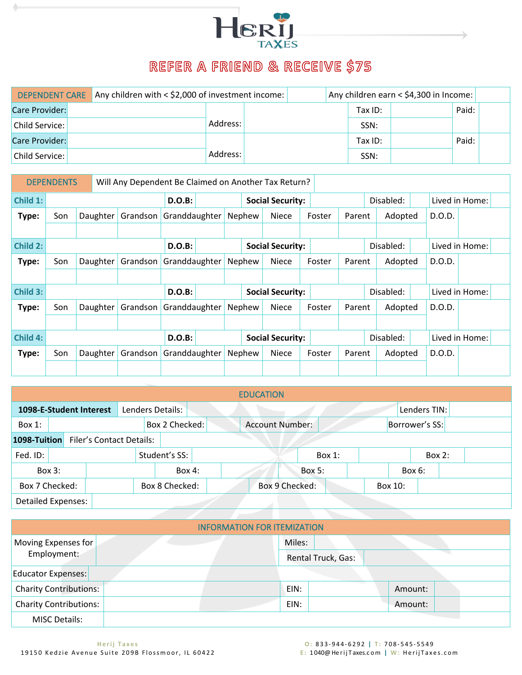

## REFER A FRIEND & RECEIVE \$75

<span id="page-2-0"></span>

|                | <b>DEPENDENT CARE</b> Any children with $\leq$ \$2,000 of investment income: |          |  |           | Any children earn < \$4,300 in Income: |       |  |
|----------------|------------------------------------------------------------------------------|----------|--|-----------|----------------------------------------|-------|--|
| Care Provider: |                                                                              |          |  | Tax $ID:$ |                                        | Paid: |  |
| Child Service: |                                                                              | Address: |  | SSN:      |                                        |       |  |
| Care Provider: |                                                                              |          |  | Tax ID:   |                                        | Paid: |  |
| Child Service: |                                                                              | Address: |  | SSN:      |                                        |       |  |

|          | <b>DEPENDENTS</b> |          | Will Any Dependent Be Claimed on Another Tax Return? |               |  |        |                         |        |        |           |        |                |  |
|----------|-------------------|----------|------------------------------------------------------|---------------|--|--------|-------------------------|--------|--------|-----------|--------|----------------|--|
| Child 1: |                   |          |                                                      | <b>D.O.B:</b> |  |        | <b>Social Security:</b> |        |        | Disabled: |        | Lived in Home: |  |
| Type:    | Son               | Daughter | Grandson                                             | Granddaughter |  | Nephew | <b>Niece</b>            | Foster | Parent | Adopted   | D.O.D. |                |  |
|          |                   |          |                                                      |               |  |        |                         |        |        |           |        |                |  |
| Child 2: |                   |          |                                                      | <b>D.O.B:</b> |  |        | <b>Social Security:</b> |        |        | Disabled: |        | Lived in Home: |  |
| Type:    | Son               | Daughter | Grandson                                             | Granddaughter |  | Nephew | Niece                   | Foster | Parent | Adopted   | D.O.D. |                |  |
|          |                   |          |                                                      |               |  |        |                         |        |        |           |        |                |  |
| Child 3: |                   |          |                                                      | <b>D.O.B:</b> |  |        | <b>Social Security:</b> |        |        | Disabled: |        | Lived in Home: |  |
| Type:    | Son               | Daughter | Grandson                                             | Granddaughter |  | Nephew | Niece                   | Foster | Parent | Adopted   | D.O.D. |                |  |
|          |                   |          |                                                      |               |  |        |                         |        |        |           |        |                |  |
| Child 4: |                   |          |                                                      | <b>D.O.B:</b> |  |        | <b>Social Security:</b> |        |        | Disabled: |        | Lived in Home: |  |
| Type:    | Son               | Daughter | Grandson                                             | Granddaughter |  | Nephew | <b>Niece</b>            | Foster | Parent | Adopted   | D.O.D. |                |  |
|          |                   |          |                                                      |               |  |        |                         |        |        |           |        |                |  |

<span id="page-2-1"></span>

|                           |          |                         |                                 |                  |  | <b>EDUCATION</b>       |               |  |                |              |  |
|---------------------------|----------|-------------------------|---------------------------------|------------------|--|------------------------|---------------|--|----------------|--------------|--|
|                           |          | 1098-E-Student Interest |                                 | Lenders Details: |  |                        |               |  |                | Lenders TIN: |  |
| Box 1:                    |          |                         |                                 | Box 2 Checked:   |  | <b>Account Number:</b> |               |  | Borrower's SS: |              |  |
| 1098-Tuition              |          |                         | <b>Filer's Contact Details:</b> |                  |  |                        |               |  |                |              |  |
| Fed. ID:                  |          |                         |                                 | Student's SS:    |  |                        | Box $1$ :     |  |                | Box $2:$     |  |
|                           | Box $3:$ |                         |                                 | Box 4:           |  |                        | <b>Box 5:</b> |  | Box 6:         |              |  |
| Box 7 Checked:            |          |                         |                                 | Box 8 Checked:   |  | Box 9 Checked:         |               |  | Box 10:        |              |  |
| <b>Detailed Expenses:</b> |          |                         |                                 |                  |  |                        |               |  |                |              |  |

<span id="page-2-2"></span>

|                               | <b>INFORMATION FOR ITEMIZATION</b> |        |                    |         |  |
|-------------------------------|------------------------------------|--------|--------------------|---------|--|
| Moving Expenses for           |                                    | Miles: |                    |         |  |
| Employment:                   |                                    |        | Rental Truck, Gas: |         |  |
| Educator Expenses:            |                                    |        |                    |         |  |
| <b>Charity Contributions:</b> |                                    | EIN:   |                    | Amount: |  |
| <b>Charity Contributions:</b> |                                    | EIN:   |                    | Amount: |  |
| <b>MISC Details:</b>          |                                    |        |                    |         |  |

Ī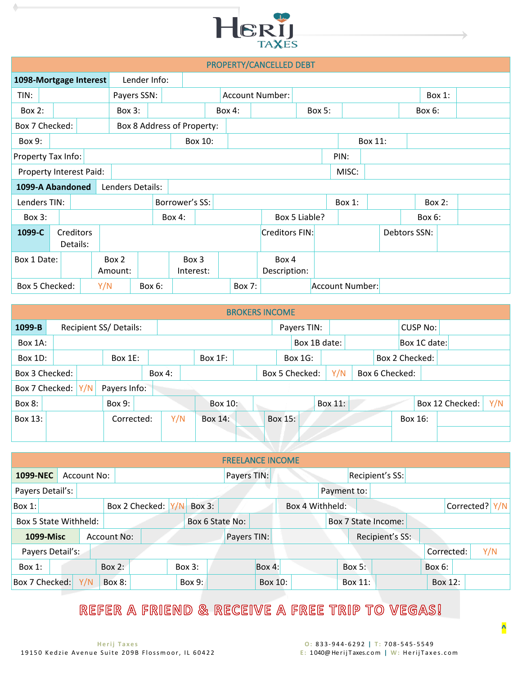

|                         |                      |                       |  |         |                  |        |                            |         |                        | PROPERTY/CANCELLED DEBT |        |                 |         |              |          |  |
|-------------------------|----------------------|-----------------------|--|---------|------------------|--------|----------------------------|---------|------------------------|-------------------------|--------|-----------------|---------|--------------|----------|--|
| 1098-Mortgage Interest  |                      |                       |  |         | Lender Info:     |        |                            |         |                        |                         |        |                 |         |              |          |  |
| TIN:                    |                      |                       |  |         | Payers SSN:      |        |                            |         | <b>Account Number:</b> |                         |        |                 |         |              | Box 1:   |  |
| Box 2:                  |                      |                       |  |         | Box 3:           |        |                            |         | Box 4:                 |                         | Box 5: |                 |         | Box 6:       |          |  |
| Box 7 Checked:          |                      |                       |  |         |                  |        | Box 8 Address of Property: |         |                        |                         |        |                 |         |              |          |  |
| Box 9:                  |                      |                       |  |         |                  |        |                            | Box 10: |                        |                         |        |                 | Box 11: |              |          |  |
| Property Tax Info:      |                      |                       |  |         |                  |        |                            |         |                        |                         |        | PIN:            |         |              |          |  |
| Property Interest Paid: |                      |                       |  |         |                  |        |                            |         |                        |                         |        | MISC:           |         |              |          |  |
| 1099-A Abandoned        |                      |                       |  |         | Lenders Details: |        |                            |         |                        |                         |        |                 |         |              |          |  |
| Lenders TIN:            |                      |                       |  |         |                  |        | Borrower's SS:             |         |                        |                         |        | Box 1:          |         |              | Box $2:$ |  |
| Box 3:                  |                      |                       |  |         |                  |        | $Box 4$ :                  |         |                        | Box 5 Liable?           |        |                 |         | $Box 6$ :    |          |  |
| 1099-C                  |                      | Creditors<br>Details: |  |         |                  |        |                            |         |                        | Creditors FIN:          |        |                 |         | Debtors SSN: |          |  |
|                         | Box 1 Date:<br>Box 2 |                       |  |         |                  |        | Box 3                      |         |                        | Box 4                   |        |                 |         |              |          |  |
|                         |                      |                       |  | Amount: |                  |        | Interest:                  |         |                        | Description:            |        |                 |         |              |          |  |
| Box 5 Checked:          |                      |                       |  | Y/N     |                  | Box 6: |                            |         | Box 7:                 |                         |        | Account Number: |         |              |          |  |

|                |     |                       |        |         | <b>BROKERS INCOME</b> |         |                |         |     |                |         |                 |                 |     |
|----------------|-----|-----------------------|--------|---------|-----------------------|---------|----------------|---------|-----|----------------|---------|-----------------|-----------------|-----|
| 1099-B         |     | Recipient SS/Details: |        |         |                       |         | Payers TIN:    |         |     |                |         | <b>CUSP No:</b> |                 |     |
| Box 1A:        |     |                       |        |         |                       |         | Box 1B date:   |         |     |                |         | Box 1C date:    |                 |     |
| Box 1D:        |     | Box $1E$ :            |        | Box 1F: |                       |         | Box 1G:        |         |     | Box 2 Checked: |         |                 |                 |     |
| Box 3 Checked: |     |                       | Box 4: |         |                       |         | Box 5 Checked: |         | Y/N | Box 6 Checked: |         |                 |                 |     |
| Box 7 Checked: | Y/N | Payers Info:          |        |         |                       |         |                |         |     |                |         |                 |                 |     |
| Box 8:         |     | Box 9:                |        | Box 10: |                       |         |                | Box 11: |     |                |         |                 | Box 12 Checked: | Y/N |
| Box 13:        |     | Corrected:            | Y/N    | Box 14: |                       | Box 15: |                |         |     |                | Box 16: |                 |                 |     |
|                |     |                       |        |         |                       |         |                |         |     |                |         |                 |                 |     |

<span id="page-3-0"></span>

|                  |                       |  |             |               |                |     |                 |             | <b>FREELANCE INCOME</b> |                 |             |          |                     |            |                  |     |
|------------------|-----------------------|--|-------------|---------------|----------------|-----|-----------------|-------------|-------------------------|-----------------|-------------|----------|---------------------|------------|------------------|-----|
| 1099-NEC         |                       |  | Account No: |               |                |     |                 | Payers TIN: |                         |                 |             |          | Recipient's SS:     |            |                  |     |
| Payers Detail's: |                       |  |             |               |                |     |                 |             |                         |                 | Payment to: |          |                     |            |                  |     |
| $Box 1$ :        |                       |  |             |               | Box 2 Checked: | Y/N | Box 3:          |             |                         | Box 4 Withheld: |             |          |                     |            | Corrected? $Y/N$ |     |
|                  | Box 5 State Withheld: |  |             |               |                |     | Box 6 State No: |             |                         |                 |             |          | Box 7 State Income: |            |                  |     |
|                  | <b>1099-Misc</b>      |  |             | Account No:   |                |     |                 | Payers TIN: |                         |                 |             |          | Recipient's SS:     |            |                  |     |
|                  | Payers Detail's:      |  |             |               |                |     |                 |             |                         |                 |             |          |                     | Corrected: |                  | Y/N |
| Box 1:           |                       |  |             | Box $2:$      |                |     | Box 3:          |             | Box $4:$                |                 |             | Box $5:$ |                     | Box 6:     |                  |     |
| Box 7 Checked:   |                       |  | Y/N         | <b>Box 8:</b> |                |     | Box 9:          |             | Box 10:                 |                 |             | Box 11:  |                     | Box 12:    |                  |     |

## REFER A FRIEND & RECEIVE A FREE TRIP TO VEGAS!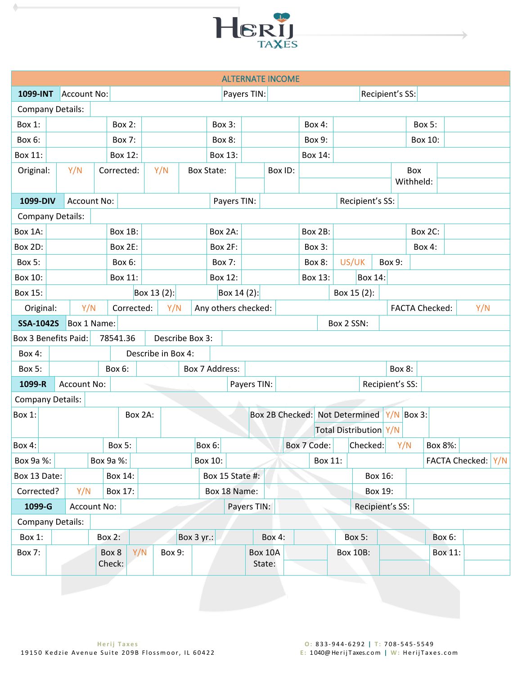

<span id="page-4-0"></span>

|                             |                                  |                    |             |               |            |                    |            |         |                   |                     |                   | <b>ALTERNATE INCOME</b> |                |         |         |            |                                |         |                 |                       |         |     |                    |
|-----------------------------|----------------------------------|--------------------|-------------|---------------|------------|--------------------|------------|---------|-------------------|---------------------|-------------------|-------------------------|----------------|---------|---------|------------|--------------------------------|---------|-----------------|-----------------------|---------|-----|--------------------|
| 1099-INT                    |                                  | Account No:        |             |               |            |                    |            |         |                   | Payers TIN:         |                   |                         |                |         |         |            | Recipient's SS:                |         |                 |                       |         |     |                    |
| <b>Company Details:</b>     |                                  |                    |             |               |            |                    |            |         |                   |                     |                   |                         |                |         |         |            |                                |         |                 |                       |         |     |                    |
| Box 1:                      |                                  |                    |             | <b>Box 2:</b> |            |                    |            |         | <b>Box 3:</b>     |                     |                   |                         |                | Box 4:  |         |            |                                |         |                 | Box 5:                |         |     |                    |
| Box 6:                      |                                  |                    |             | <b>Box 7:</b> |            |                    |            |         | Box 8:            |                     |                   |                         |                | Box 9:  |         |            |                                |         |                 | Box 10:               |         |     |                    |
| Box 11:                     |                                  |                    |             | Box 12:       |            |                    |            |         | Box 13:           |                     |                   |                         |                | Box 14: |         |            |                                |         |                 |                       |         |     |                    |
| Original:                   |                                  | Y/N                |             | Corrected:    |            | Y/N                |            |         | <b>Box State:</b> |                     |                   | Box ID:                 |                |         |         |            |                                |         |                 | Box                   |         |     |                    |
|                             |                                  |                    |             |               |            |                    |            |         |                   |                     |                   |                         |                |         |         |            |                                |         |                 | Withheld:             |         |     |                    |
| 1099-DIV                    |                                  | Account No:        |             |               |            |                    |            |         |                   | Payers TIN:         |                   |                         |                |         |         |            | Recipient's SS:                |         |                 |                       |         |     |                    |
| <b>Company Details:</b>     |                                  |                    |             |               |            |                    |            |         |                   |                     |                   |                         |                |         |         |            |                                |         |                 |                       |         |     |                    |
| Box 1A:                     |                                  |                    |             | Box 1B:       |            |                    |            |         | Box 2A:           |                     |                   |                         |                | Box 2B: |         |            |                                |         |                 | Box 2C:               |         |     |                    |
| Box 2D:                     |                                  |                    |             | Box 2E:       |            |                    |            |         | Box 2F:           |                     |                   |                         |                | Box 3:  |         |            |                                |         |                 | Box 4:                |         |     |                    |
| <b>Box 5:</b>               |                                  |                    |             | Box 6:        |            |                    |            |         | <b>Box 7:</b>     |                     |                   |                         |                | Box 8:  |         |            | US/UK                          | Box 9:  |                 |                       |         |     |                    |
| Box 10:                     |                                  |                    |             |               | Box 12:    |                    |            |         |                   | Box 13:             |                   |                         | <b>Box 14:</b> |         |         |            |                                |         |                 |                       |         |     |                    |
| Box 15:                     |                                  |                    |             |               |            | Box 13 (2):        |            |         |                   | Box 14 (2):         |                   |                         |                |         |         |            | Box 15 (2):                    |         |                 |                       |         |     |                    |
| Original:                   |                                  | Y/N                |             |               | Corrected: |                    | Y/N        |         |                   | Any others checked: |                   |                         |                |         |         |            |                                |         |                 | <b>FACTA Checked:</b> |         | Y/N |                    |
| <b>SSA-1042S</b>            |                                  | Box 1 Name:        |             |               |            |                    |            |         |                   |                     |                   |                         |                |         |         | Box 2 SSN: |                                |         |                 |                       |         |     |                    |
| <b>Box 3 Benefits Paid:</b> |                                  |                    |             | 78541.36      |            | Describe Box 3:    |            |         |                   |                     |                   |                         |                |         |         |            |                                |         |                 |                       |         |     |                    |
| Box 4:                      |                                  |                    |             |               |            | Describe in Box 4: |            |         |                   |                     |                   |                         |                |         |         |            |                                |         |                 |                       |         |     |                    |
| Box 5:                      |                                  |                    |             | Box 6:        |            |                    |            |         | Box 7 Address:    |                     |                   |                         |                |         |         |            |                                |         | Box 8:          |                       |         |     |                    |
| 1099-R                      |                                  | <b>Account No:</b> |             |               |            |                    |            |         |                   | Payers TIN:         |                   |                         |                |         |         |            |                                |         | Recipient's SS: |                       |         |     |                    |
| Company Details:            |                                  |                    |             |               |            |                    |            |         |                   |                     |                   |                         |                |         |         |            |                                |         |                 |                       |         |     |                    |
| Box 1:                      |                                  |                    |             |               | Box 2A:    |                    |            |         |                   |                     |                   |                         |                |         |         |            | Box 2B Checked: Not Determined |         |                 | $Y/N$ Box 3:          |         |     |                    |
|                             |                                  |                    |             |               |            |                    |            |         |                   |                     |                   |                         |                |         |         |            | <b>Total Distribution Y/N</b>  |         |                 |                       |         |     |                    |
| Box 4:                      |                                  |                    |             | Box 5:        |            |                    |            | Box 6:  |                   |                     |                   |                         | Box 7 Code:    |         |         |            | Checked:                       |         | Y/N             |                       | Box 8%: |     |                    |
| Box 9a %:                   |                                  |                    |             | Box 9a %:     |            |                    |            | Box 10: |                   |                     |                   |                         |                |         | Box 11: |            |                                |         |                 |                       |         |     | FACTA Checked: Y/N |
| Box 13 Date:                |                                  |                    | Box 14:     |               |            |                    |            |         |                   | Box 15 State #:     |                   |                         |                |         |         |            |                                | Box 16: |                 |                       |         |     |                    |
| Corrected?                  |                                  | Y/N<br>Box 17:     |             |               |            |                    |            |         |                   | Box 18 Name:        |                   |                         |                |         |         |            |                                | Box 19: |                 |                       |         |     |                    |
| 1099-G                      |                                  |                    | Account No: |               |            |                    |            |         |                   | Payers TIN:         |                   |                         |                |         |         |            | Recipient's SS:                |         |                 |                       |         |     |                    |
| <b>Company Details:</b>     |                                  |                    |             |               |            |                    |            |         |                   |                     |                   |                         |                |         |         |            |                                |         |                 |                       |         |     |                    |
| Box 1:                      | <b>Box 2:</b>                    |                    |             |               |            |                    | Box 3 yr.: |         |                   |                     |                   | <b>Box 4:</b>           |                |         |         |            | <b>Box 5:</b>                  |         |                 |                       | Box 6:  |     |                    |
| <b>Box 7:</b>               | Y/N<br>Box 9:<br>Box 8<br>Check: |                    |             |               |            |                    |            |         |                   |                     | Box 10A<br>State: |                         |                |         |         |            | <b>Box 10B:</b>                |         |                 |                       | Box 11: |     |                    |
|                             |                                  |                    |             |               |            |                    |            |         |                   |                     |                   |                         |                |         |         |            |                                |         |                 |                       |         |     |                    |

 $\blacklozenge$